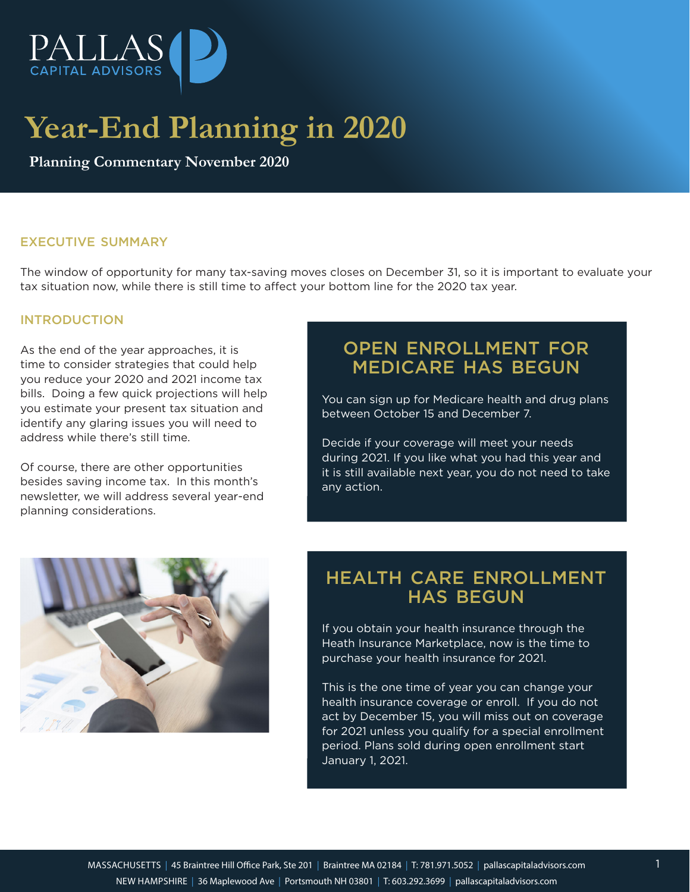

# **Year-End Planning in 2020**

**Planning Commentary November 2020**

# EXECUTIVE SUMMARY

The window of opportunity for many tax-saving moves closes on December 31, so it is important to evaluate your tax situation now, while there is still time to affect your bottom line for the 2020 tax year.

#### INTRODUCTION

As the end of the year approaches, it is time to consider strategies that could help you reduce your 2020 and 2021 income tax bills. Doing a few quick projections will help you estimate your present tax situation and identify any glaring issues you will need to address while there's still time.

Of course, there are other opportunities besides saving income tax. In this month's newsletter, we will address several year-end planning considerations.

# OPEN ENROLLMENT FOR MEDICARE HAS BEGUN

You can sign up for Medicare health and drug plans between October 15 and December 7.

Decide if your coverage will meet your needs during 2021. If you like what you had this year and it is still available next year, you do not need to take any action.



# HEALTH CARE ENROLLMENT HAS BEGUN

If you obtain your health insurance through the Heath Insurance Marketplace, now is the time to purchase your health insurance for 2021.

This is the one time of year you can change your health insurance coverage or enroll. If you do not act by December 15, you will miss out on coverage for 2021 unless you qualify for a special enrollment period. Plans sold during open enrollment start January 1, 2021.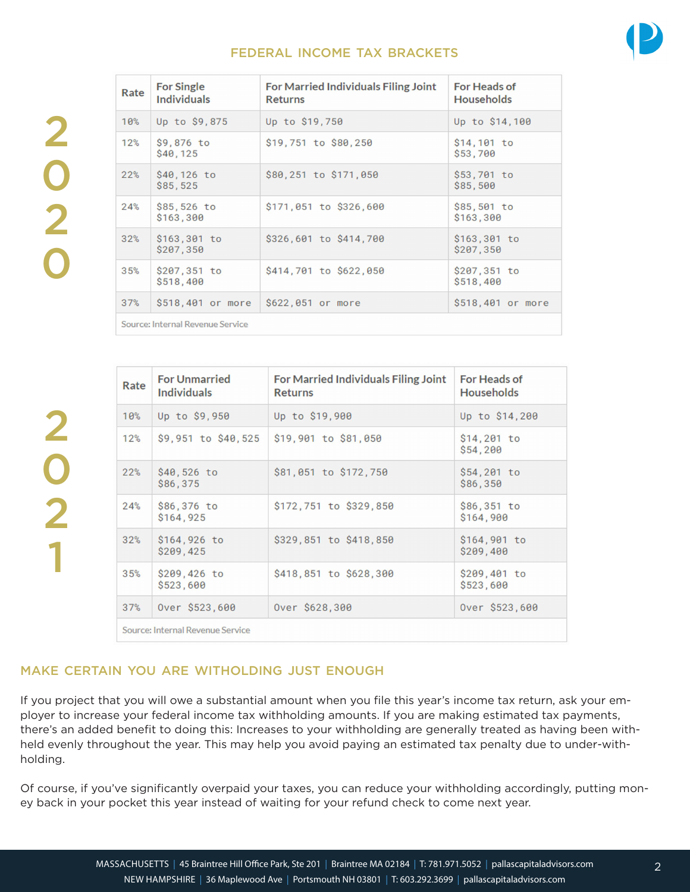# FEDERAL INCOME TAX BRACKETS



| Rate                             | <b>For Single</b><br><b>Individuals</b> | For Married Individuals Filing Joint<br><b>Returns</b> | <b>For Heads of</b><br><b>Households</b> |  |
|----------------------------------|-----------------------------------------|--------------------------------------------------------|------------------------------------------|--|
| 10%                              | Up to \$9,875                           | Up to \$19,750                                         | Up to \$14,100                           |  |
| 12%                              | \$9,876 to<br>S40.125                   | \$19,751 to \$80,250                                   | $$14,101$ to<br>\$53,700                 |  |
| 22%                              | \$40,126 to<br>\$85,525                 | \$80,251 to \$171,050                                  | \$53,701 to<br>\$85,500                  |  |
| 24%                              | \$85,526 to<br>\$163,300                | \$171,051 to \$326,600                                 | \$85,501 to<br>\$163,300                 |  |
| 32%                              | $$163,301$ to<br>\$207,350              | \$326,601 to \$414,700                                 | $$163,301$ to<br>\$207,350               |  |
| 35%                              | \$207,351 to<br>\$518,400               | \$414,701 to \$622,050                                 | \$207,351 to<br>\$518,400                |  |
| 37%                              | \$518,401 or more                       | \$622,051 or more                                      | \$518,401 or more                        |  |
| Source: Internal Revenue Service |                                         |                                                        |                                          |  |

| Rate                             | <b>For Unmarried</b><br><b>Individuals</b> | For Married Individuals Filing Joint<br><b>Returns</b> | For Heads of<br><b>Households</b> |
|----------------------------------|--------------------------------------------|--------------------------------------------------------|-----------------------------------|
| 10%                              | Up to \$9,950                              | Up to \$19,900                                         | Up to \$14,200                    |
| 12%                              | \$9,951 to \$40,525                        | \$19,901 to \$81,050                                   | \$14,201 to<br>\$54,200           |
| 22%                              | \$40,526 to<br>\$86,375                    | \$81,051 to \$172,750                                  | \$54,201 to<br>\$86,350           |
| 24%                              | \$86,376 to<br>\$164,925                   | \$172,751 to \$329,850                                 | \$86,351 to<br>\$164,900          |
| 32%                              | \$164,926 to<br>\$209,425                  | \$329,851 to \$418,850                                 | \$164,901 to<br>\$209,400         |
| 35%                              | \$209,426 to<br>\$523,600                  | \$418,851 to \$628,300                                 | \$209,401 to<br>\$523,600         |
| 37%                              | Over \$523,600                             | Over \$628,300                                         | Over \$523,600                    |
| Source: Internal Revenue Service |                                            |                                                        |                                   |

# MAKE CERTAIN YOU ARE WITHOLDING JUST ENOUGH

If you project that you will owe a substantial amount when you file this year's income tax return, ask your employer to increase your federal income tax withholding amounts. If you are making estimated tax payments, there's an added benefit to doing this: Increases to your withholding are generally treated as having been withheld evenly throughout the year. This may help you avoid paying an estimated tax penalty due to under-withholding.

Of course, if you've significantly overpaid your taxes, you can reduce your withholding accordingly, putting money back in your pocket this year instead of waiting for your refund check to come next year.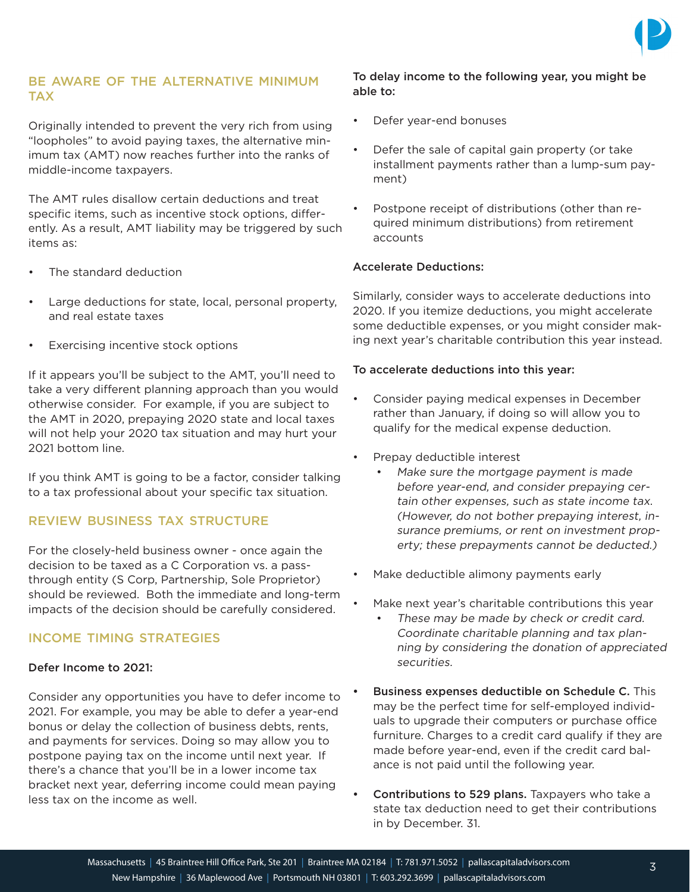

# BE AWARE OF THE ALTERNATIVE MINIMUM TAX

Originally intended to prevent the very rich from using "loopholes" to avoid paying taxes, the alternative minimum tax (AMT) now reaches further into the ranks of middle-income taxpayers.

The AMT rules disallow certain deductions and treat specific items, such as incentive stock options, differently. As a result, AMT liability may be triggered by such items as:

- The standard deduction
- Large deductions for state, local, personal property, and real estate taxes
- Exercising incentive stock options

If it appears you'll be subject to the AMT, you'll need to take a very different planning approach than you would otherwise consider. For example, if you are subject to the AMT in 2020, prepaying 2020 state and local taxes will not help your 2020 tax situation and may hurt your 2021 bottom line.

If you think AMT is going to be a factor, consider talking to a tax professional about your specific tax situation.

# REVIEW BUSINESS TAX STRUCTURE

For the closely-held business owner - once again the decision to be taxed as a C Corporation vs. a passthrough entity (S Corp, Partnership, Sole Proprietor) should be reviewed. Both the immediate and long-term impacts of the decision should be carefully considered.

# INCOME TIMING STRATEGIES

#### Defer Income to 2021:

Consider any opportunities you have to defer income to 2021. For example, you may be able to defer a year-end bonus or delay the collection of business debts, rents, and payments for services. Doing so may allow you to postpone paying tax on the income until next year. If there's a chance that you'll be in a lower income tax bracket next year, deferring income could mean paying less tax on the income as well.

#### To delay income to the following year, you might be able to:

- Defer year-end bonuses
- Defer the sale of capital gain property (or take installment payments rather than a lump-sum payment)
- Postpone receipt of distributions (other than required minimum distributions) from retirement accounts

#### Accelerate Deductions:

Similarly, consider ways to accelerate deductions into 2020. If you itemize deductions, you might accelerate some deductible expenses, or you might consider making next year's charitable contribution this year instead.

#### To accelerate deductions into this year:

- Consider paying medical expenses in December rather than January, if doing so will allow you to qualify for the medical expense deduction.
- Prepay deductible interest
	- Make sure the mortgage payment is made before year-end, and consider prepaying certain other expenses, such as state income tax. (However, do not bother prepaying interest, insurance premiums, or rent on investment property; these prepayments cannot be deducted.)
- Make deductible alimony payments early
- Make next year's charitable contributions this year
	- These may be made by check or credit card. Coordinate charitable planning and tax planning by considering the donation of appreciated securities.
- Business expenses deductible on Schedule C. This may be the perfect time for self-employed individuals to upgrade their computers or purchase office furniture. Charges to a credit card qualify if they are made before year-end, even if the credit card balance is not paid until the following year.
- Contributions to 529 plans. Taxpayers who take a state tax deduction need to get their contributions in by December. 31.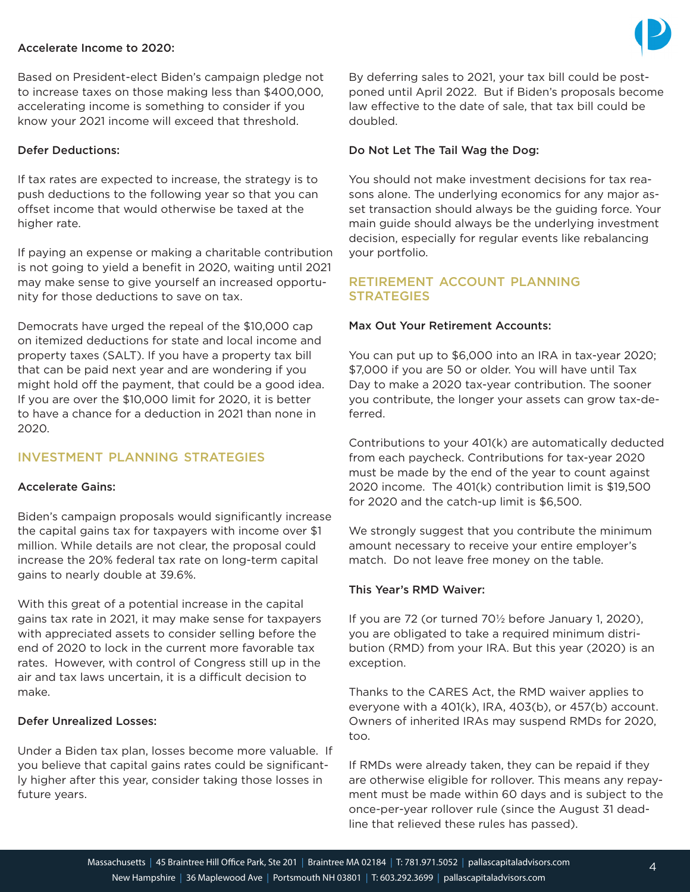#### Accelerate Income to 2020:



Based on President-elect Biden's campaign pledge not to increase taxes on those making less than \$400,000, accelerating income is something to consider if you know your 2021 income will exceed that threshold.

#### Defer Deductions:

If tax rates are expected to increase, the strategy is to push deductions to the following year so that you can offset income that would otherwise be taxed at the higher rate.

If paying an expense or making a charitable contribution is not going to yield a benefit in 2020, waiting until 2021 may make sense to give yourself an increased opportunity for those deductions to save on tax.

Democrats have urged the repeal of the \$10,000 cap on itemized deductions for state and local income and property taxes (SALT). If you have a property tax bill that can be paid next year and are wondering if you might hold off the payment, that could be a good idea. If you are over the \$10,000 limit for 2020, it is better to have a chance for a deduction in 2021 than none in 2020.

# INVESTMENT PLANNING STRATEGIES

#### Accelerate Gains:

Biden's campaign proposals would significantly increase the capital gains tax for taxpayers with income over \$1 million. While details are not clear, the proposal could increase the 20% federal tax rate on long-term capital gains to nearly double at 39.6%.

With this great of a potential increase in the capital gains tax rate in 2021, it may make sense for taxpayers with appreciated assets to consider selling before the end of 2020 to lock in the current more favorable tax rates. However, with control of Congress still up in the air and tax laws uncertain, it is a difficult decision to make.

#### Defer Unrealized Losses:

Under a Biden tax plan, losses become more valuable. If you believe that capital gains rates could be significantly higher after this year, consider taking those losses in future years.

By deferring sales to 2021, your tax bill could be postponed until April 2022. But if Biden's proposals become law effective to the date of sale, that tax bill could be doubled.

#### Do Not Let The Tail Wag the Dog:

You should not make investment decisions for tax reasons alone. The underlying economics for any major asset transaction should always be the guiding force. Your main guide should always be the underlying investment decision, especially for regular events like rebalancing your portfolio.

#### RETIREMENT ACCOUNT PLANNING **STRATEGIES**

#### Max Out Your Retirement Accounts:

You can put up to \$6,000 into an IRA in tax-year 2020; \$7,000 if you are 50 or older. You will have until Tax Day to make a 2020 tax-year contribution. The sooner you contribute, the longer your assets can grow tax-deferred.

Contributions to your 401(k) are automatically deducted from each paycheck. Contributions for tax-year 2020 must be made by the end of the year to count against 2020 income. The 401(k) contribution limit is \$19,500 for 2020 and the catch-up limit is \$6,500.

We strongly suggest that you contribute the minimum amount necessary to receive your entire employer's match. Do not leave free money on the table.

#### This Year's RMD Waiver:

If you are 72 (or turned 70½ before January 1, 2020), you are obligated to take a required minimum distribution (RMD) from your IRA. But this year (2020) is an exception.

Thanks to the CARES Act, the RMD waiver applies to everyone with a 401(k), IRA, 403(b), or 457(b) account. Owners of inherited IRAs may suspend RMDs for 2020, too.

If RMDs were already taken, they can be repaid if they are otherwise eligible for rollover. This means any repayment must be made within 60 days and is subject to the once-per-year rollover rule (since the August 31 deadline that relieved these rules has passed).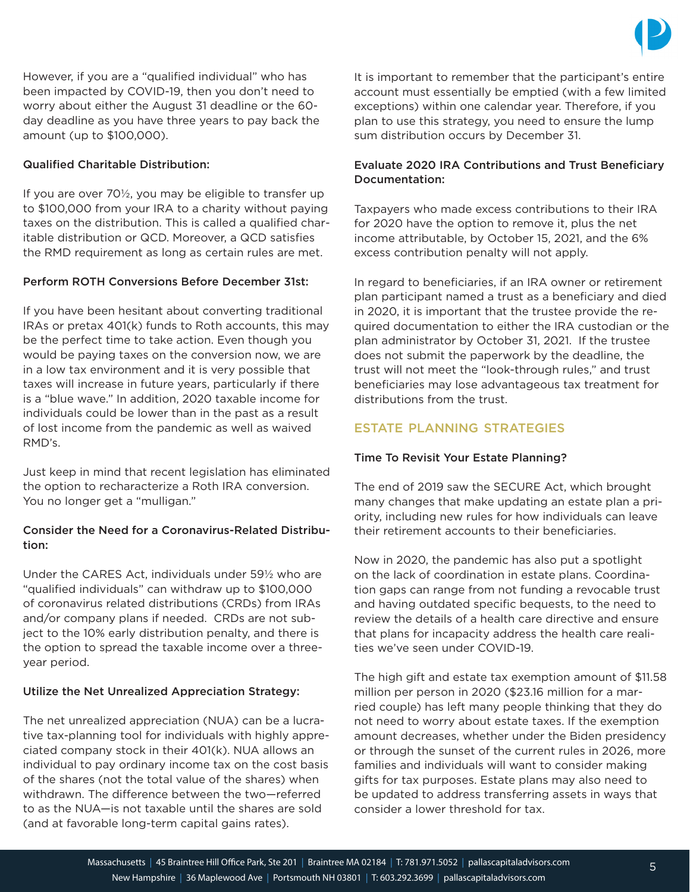

However, if you are a "qualified individual" who has been impacted by COVID-19, then you don't need to worry about either the August 31 deadline or the 60 day deadline as you have three years to pay back the amount (up to \$100,000).

#### Qualified Charitable Distribution:

If you are over 70½, you may be eligible to transfer up to \$100,000 from your IRA to a charity without paying taxes on the distribution. This is called a qualified charitable distribution or QCD. Moreover, a QCD satisfies the RMD requirement as long as certain rules are met.

# Perform ROTH Conversions Before December 31st:

If you have been hesitant about converting traditional IRAs or pretax 401(k) funds to Roth accounts, this may be the perfect time to take action. Even though you would be paying taxes on the conversion now, we are in a low tax environment and it is very possible that taxes will increase in future years, particularly if there is a "blue wave." In addition, 2020 taxable income for individuals could be lower than in the past as a result of lost income from the pandemic as well as waived RMD's.

Just keep in mind that recent legislation has eliminated the option to recharacterize a Roth IRA conversion. You no longer get a "mulligan."

#### Consider the Need for a Coronavirus-Related Distribution:

Under the CARES Act, individuals under 59½ who are "qualified individuals" can withdraw up to \$100,000 of coronavirus related distributions (CRDs) from IRAs and/or company plans if needed. CRDs are not subject to the 10% early distribution penalty, and there is the option to spread the taxable income over a threeyear period.

#### Utilize the Net Unrealized Appreciation Strategy:

The net unrealized appreciation (NUA) can be a lucrative tax-planning tool for individuals with highly appreciated company stock in their 401(k). NUA allows an individual to pay ordinary income tax on the cost basis of the shares (not the total value of the shares) when withdrawn. The difference between the two—referred to as the NUA—is not taxable until the shares are sold (and at favorable long-term capital gains rates).

It is important to remember that the participant's entire account must essentially be emptied (with a few limited exceptions) within one calendar year. Therefore, if you plan to use this strategy, you need to ensure the lump sum distribution occurs by December 31.

#### Evaluate 2020 IRA Contributions and Trust Beneficiary Documentation:

Taxpayers who made excess contributions to their IRA for 2020 have the option to remove it, plus the net income attributable, by October 15, 2021, and the 6% excess contribution penalty will not apply.

In regard to beneficiaries, if an IRA owner or retirement plan participant named a trust as a beneficiary and died in 2020, it is important that the trustee provide the required documentation to either the IRA custodian or the plan administrator by October 31, 2021. If the trustee does not submit the paperwork by the deadline, the trust will not meet the "look-through rules," and trust beneficiaries may lose advantageous tax treatment for distributions from the trust.

# ESTATE PLANNING STRATEGIES

#### Time To Revisit Your Estate Planning?

The end of 2019 saw the SECURE Act, which brought many changes that make updating an estate plan a priority, including new rules for how individuals can leave their retirement accounts to their beneficiaries.

Now in 2020, the pandemic has also put a spotlight on the lack of coordination in estate plans. Coordination gaps can range from not funding a revocable trust and having outdated specific bequests, to the need to review the details of a health care directive and ensure that plans for incapacity address the health care realities we've seen under COVID-19.

The high gift and estate tax exemption amount of \$11.58 million per person in 2020 (\$23.16 million for a married couple) has left many people thinking that they do not need to worry about estate taxes. If the exemption amount decreases, whether under the Biden presidency or through the sunset of the current rules in 2026, more families and individuals will want to consider making gifts for tax purposes. Estate plans may also need to be updated to address transferring assets in ways that consider a lower threshold for tax.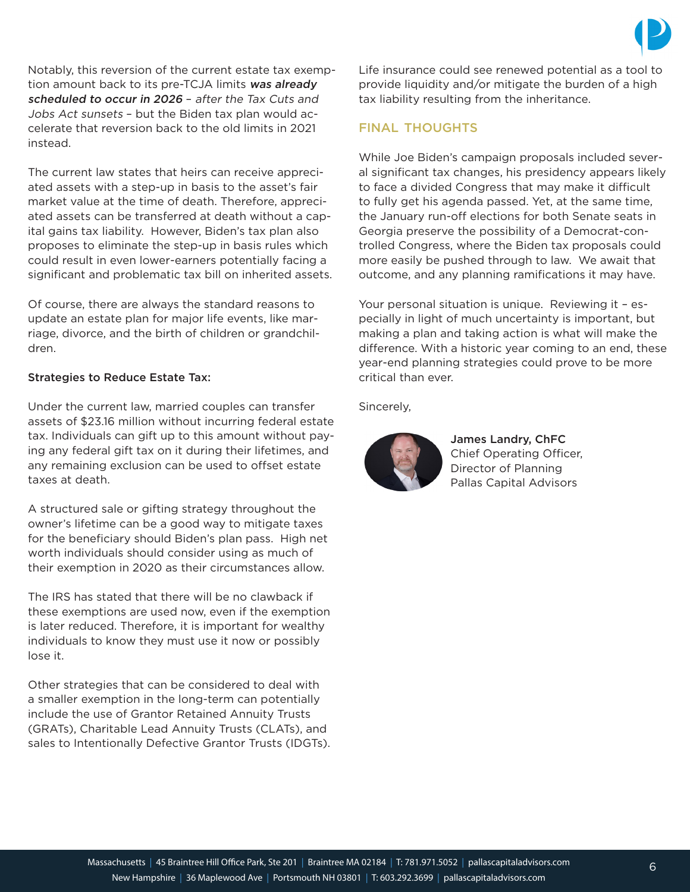Notably, this reversion of the current estate tax exemption amount back to its pre-TCJA limits was already scheduled to occur in 2026 – after the Tax Cuts and Jobs Act sunsets – but the Biden tax plan would accelerate that reversion back to the old limits in 2021 instead.

The current law states that heirs can receive appreciated assets with a step-up in basis to the asset's fair market value at the time of death. Therefore, appreciated assets can be transferred at death without a capital gains tax liability. However, Biden's tax plan also proposes to eliminate the step-up in basis rules which could result in even lower-earners potentially facing a significant and problematic tax bill on inherited assets.

Of course, there are always the standard reasons to update an estate plan for major life events, like marriage, divorce, and the birth of children or grandchildren.

#### Strategies to Reduce Estate Tax:

Under the current law, married couples can transfer assets of \$23.16 million without incurring federal estate tax. Individuals can gift up to this amount without paying any federal gift tax on it during their lifetimes, and any remaining exclusion can be used to offset estate taxes at death.

A structured sale or gifting strategy throughout the owner's lifetime can be a good way to mitigate taxes for the beneficiary should Biden's plan pass. High net worth individuals should consider using as much of their exemption in 2020 as their circumstances allow.

The IRS has stated that there will be no clawback if these exemptions are used now, even if the exemption is later reduced. Therefore, it is important for wealthy individuals to know they must use it now or possibly lose it.

Other strategies that can be considered to deal with a smaller exemption in the long-term can potentially include the use of Grantor Retained Annuity Trusts (GRATs), Charitable Lead Annuity Trusts (CLATs), and sales to Intentionally Defective Grantor Trusts (IDGTs). Life insurance could see renewed potential as a tool to provide liquidity and/or mitigate the burden of a high tax liability resulting from the inheritance.

#### FINAL THOUGHTS

While Joe Biden's campaign proposals included several significant tax changes, his presidency appears likely to face a divided Congress that may make it difficult to fully get his agenda passed. Yet, at the same time, the January run-off elections for both Senate seats in Georgia preserve the possibility of a Democrat-controlled Congress, where the Biden tax proposals could more easily be pushed through to law. We await that outcome, and any planning ramifications it may have.

Your personal situation is unique. Reviewing it – especially in light of much uncertainty is important, but making a plan and taking action is what will make the difference. With a historic year coming to an end, these year-end planning strategies could prove to be more critical than ever.

Sincerely,



James Landry, ChFC Chief Operating Officer, Director of Planning Pallas Capital Advisors